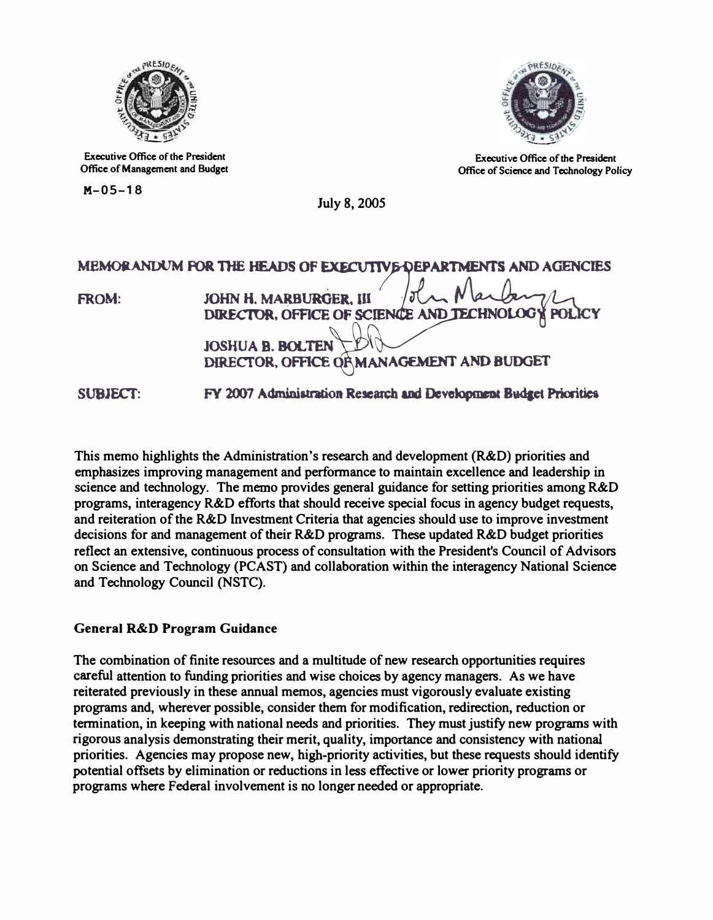

**Executive Office of the President** Office of Management and Budget

 $M - 05 - 18$ 



**Executive Office of the President** Office of Science and Technology Policy

July 8, 2005

# MEMORANDUM FOR THE HEADS OF EXECUTIVE DEPARTMENTS AND AGENCIES **JOHN H. MARBURGER, III FROM** DRECTOR, OFFICE OF SCIENCE AND TECHNOL **JOSHUA B. BOLTEN** DIRECTOR, OFFICE OR MANAGEMENT AND BUDGET FY 2007 Administration Research and Development Budget Priorities **SUBJECT:**

This memo highlights the Administration's research and development (R&D) priorities and emphasizes improving management and performance to maintain excellence and leadership in science and technology. The memo provides general guidance for setting priorities among R&D programs, interagency R&D efforts that should receive special focus in agency budget requests, and reiteration of the R&D Investment Criteria that agencies should use to improve investment decisions for and management of their R&D programs. These updated R&D budget priorities reflect an extensive, continuous process of consultation with the President's Council of Advisors on Science and Technology (PCAST) and collaboration within the interagency National Science and Technology Council (NSTC).

# **General R&D Program Guidance**

The combination of finite resources and a multitude of new research opportunities requires careful attention to funding priorities and wise choices by agency managers. As we have reiterated previously in these annual memos, agencies must vigorously evaluate existing programs and, wherever possible, consider them for modification, redirection, reduction or termination, in keeping with national needs and priorities. They must justify new programs with rigorous analysis demonstrating their merit, quality, importance and consistency with national priorities. Agencies may propose new, high-priority activities, but these requests should identify potential offsets by elimination or reductions in less effective or lower priority programs or programs where Federal involvement is no longer needed or appropriate.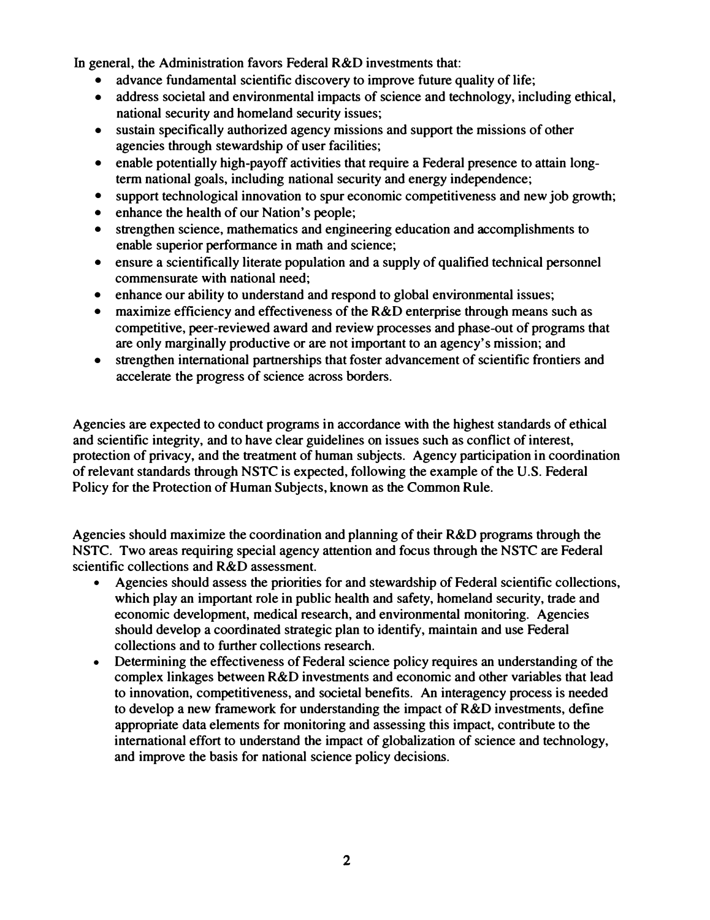**In general, the Administration favors Federal R&D investments that:** 

- **• advance fundamental scientific discovery to improve future quality of life;**
- **• address societal and environmental impacts of science and technology, including ethical, national security and homeland security issues;**
- **• sustain specifically authorized agency missions and support the missions of other agencies through stewardship of user facilities;**
- enable potentially high-payoff activities that require a Federal presence to attain long**term national goals, including national security and energy independence;**
- **• support technological innovation to spur economic competitiveness and new job growth;**
- **• enhance the health of our Nation's people;**
- **• strengthen science, mathematics and engineering education and accomplishments to enable superior performance in math and science;**
- **• ensure a scientifically literate population and a supply of qualified technical personnel commensurate with national need;**
- **• enhance our ability to understand and respond to global environmental issues;**
- **• maximize efficiency and effectiveness of the R&D enterprise through means such as competitive, peer-reviewed award and review processes and phase-out of programs that are only marginally productive or are not important to an agency's mission; and**
- **• strengthen international partnerships that foster advancement of scientific frontiers and accelerate the progress of science across borders.**

**Agencies are expected to conduct programs in accordance with the highest standards of ethical and scientific integrity, and to have clear guidelines on issues such as conflict of interest, protection of privacy, and the treatment of human subjects. Agency participation in coordination of relevant standards through NSTC is expected, following the example of the U.S. Federal Policy for the Protection of Human Subjects, known as the Common Rule.** 

**Agencies should maximize the coordination and planning of their R&D programs through the NSTC. Two areas requiring special agency attention and focus through the NSTC are Federal scientific collections and R&D assessment. • Agencies should assess the priorities for and stewardship of Federal scientific collections,**

- **which play an important role in public health and safety, homeland security, trade and economic development, medical research, and environmental monitoring. Agencies should develop a coordinated strategic plan to identify, maintain and use Federal**
- **collections and to further collections research. • Determining the effectiveness of Federal science policy requires an understanding of the complex linkages between R&D investments and economic and other variables that lead to innovation, competitiveness, and societal benefits. An interagency process is needed to develop a new framework for understanding the impact of R&D investments, define appropriate data elements for monitoring and assessing this impact, contribute to the international effort to understand the impact of globalization of science and technology, and improve the basis for national science policy decisions.**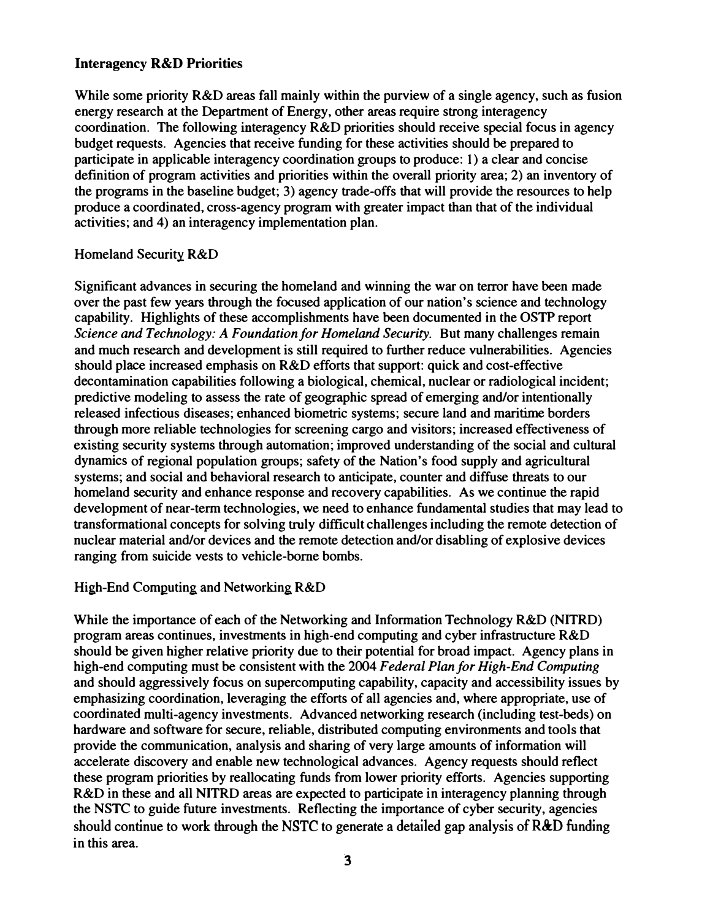## **Interagency R&D Priorities**

**While some priority R&D areas fall mainly within the purview of a single agency, such as fusion energy research at the Department of Energy, other areas require strong interagency coordination. The following interagency R&D priorities should receive special focus in agency budget requests. Agencies that receive funding for these activities should be prepared to participate in applicable interagency coordination groups to produce: 1) a clear and concise definition of program activities and priorities within the overall priority area; 2) an inventory of the programs in the baseline budget; 3) agency trade-offs that will provide the resources to help produce a coordinated, cross-agency program with greater impact than that of the individual activities; and 4) an interagency implementation plan.** 

#### **Homeland Security R&D**

**Significant advances in securing the homeland and winning the war on terror have been made over the past few years through the focused application of our nation's science and technology capability. Highlights of these accomplishments have been documented in the OSTP report**  *Science and Technology: A Foundation for Homeland Security.* **But many challenges remain and much research and development is still required to further reduce vulnerabilities. Agencies should place increased emphasis on R&D efforts that support: quick and cost-effective decontamination capabilities following a biological, chemical, nuclear or radiological incident; predictive modeling to assess the rate of geographic spread of emerging and/or intentionally released infectious diseases; enhanced biometric systems; secure land and maritime borders through more reliable technologies for screening cargo and visitors; increased effectiveness of existing security systems through automation; improved understanding of the social and cultural dynamics of regional population groups; safety of the Nation's food supply and agricultural systems; and social and behavioral research to anticipate, counter and diffuse threats to our homeland security and enhance response and recovery capabilities. As we continue the rapid development of near-term technologies, we need to enhance fundamental studies that may lead to transformational concepts for solving truly difficult challenges including the remote detection of nuclear material and/or devices and the remote detection and/or disabling of explosive devices ranging from suicide vests to vehicle-borne bombs.** 

# **High-End Computing and Networking R&D**

**While the importance of each of the Networking and Information Technology R&D (NITRO) program areas continues, investments in high-end computing and cyber infrastructure R&D should be given higher relative priority due to their potential for broad impact. Agency plans in high-end computing must be consistent with the 2004** *Federal Plan for High-End Computing*  **and should aggressively focus on supercomputing capability, capacity and accessibility issues by emphasizing coordination, leveraging the efforts of all agencies and, where appropriate, use of coordinated multi-agency investments. Advanced networking research (including test-beds) on hardware and software for secure, reliable, distributed computing environments and tools that provide the communication, analysis and sharing of very large amounts of information will accelerate discovery and enable new technological advances. Agency requests should reflect these program priorities by reallocating funds from lower priority efforts. Agencies supporting R&D in these and all NITRO areas are expected to participate in interagency planning through the NSTC to guide future investments. Reflecting the importance of cyber security, agencies should continue to work through the NSTC to generate a detailed gap analysis of R&D funding in this area.**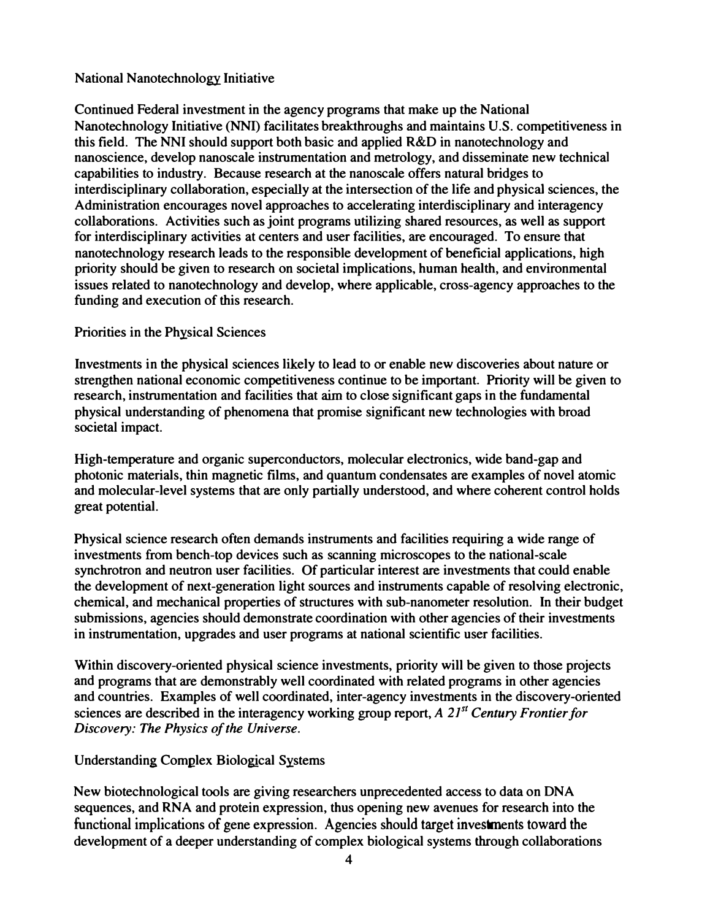## **National Nanotechnology Initiative**

**Continued Federal investment in the agency programs that make up the National Nanotechnology Initiative** (NNn **facilitates breakthroughs and maintains U.S. competitiveness in this field. The NNI should support both basic and applied R&D in nanotechnology and nanoscience, develop nanoscale instrumentation and metrology, and disseminate new technical capabilities to industry. Because research at the nanoscale offers natural bridges to interdisciplinary collaboration, especially at the intersection of the life and physical sciences, the Administration encourages novel approaches to accelerating interdisciplinary and interagency collaborations. Activities such as joint programs utilizing shared resources, as well as support for interdisciplinary activities at centers and user facilities, are encouraged. To ensure that nanotechnology research leads to the responsible development of beneficial applications, high priority should be given to research on societal implications, human health, and environmental issues related to nanotechnology and develop, where applicable, cross-agency approaches to the funding and execution of this research.** 

## **Priorities in the Physical Sciences**

**Investments in the physical sciences likely to lead to or enable new discoveries about nature or strengthen national economic competitiveness continue to be important. Priority will be given to research, instrumentation and facilities that aim to close significant gaps in the fundamental physical understanding of phenomena that promise significant new technologies with broad societal impact.** 

**High-temperature and organic superconductors, molecular electronics, wide band-gap and photonic materials, thin magnetic films, and quantum condensates are examples of novel atomic and molecular-level systems that are only partially understood, and where coherent control holds great potential.** 

**Physical science research often demands instruments and facilities requiring a wide range of investments from bench-top devices such as scanning microscopes to the national-scale synchrotron and neutron user facilities. Of particular interest are investments that could enable the development of next-generation light sources and instruments capable of resolving electronic, chemical, and mechanical properties of structures with sub-nanometer resolution. In their budget submissions, agencies should demonstrate coordination with other agencies of their investments in instrumentation, upgrades and user programs at national scientific user facilities.** 

**Within discovery-oriented physical science investments, priority will be given to those projects and programs that are demonstrably well coordinated with related programs in other agencies and countries. Examples of well coordinated, inter-agency investments in the discovery-oriented sciences are described in the interagency working group report,** *A 2i<sup>s</sup><sup>1</sup>Century Frontier for Discovery: The Physics of the Universe.* 

# **Understanding Complex Biological Systems**

**New biotechnological tools are giving researchers unprecedented access to data on DNA sequences, and RNA and protein expression, thus opening new avenues for research into the functional implications of gene expression. Agencies should target investments toward the development of a deeper understanding of complex biological systems through collaborations**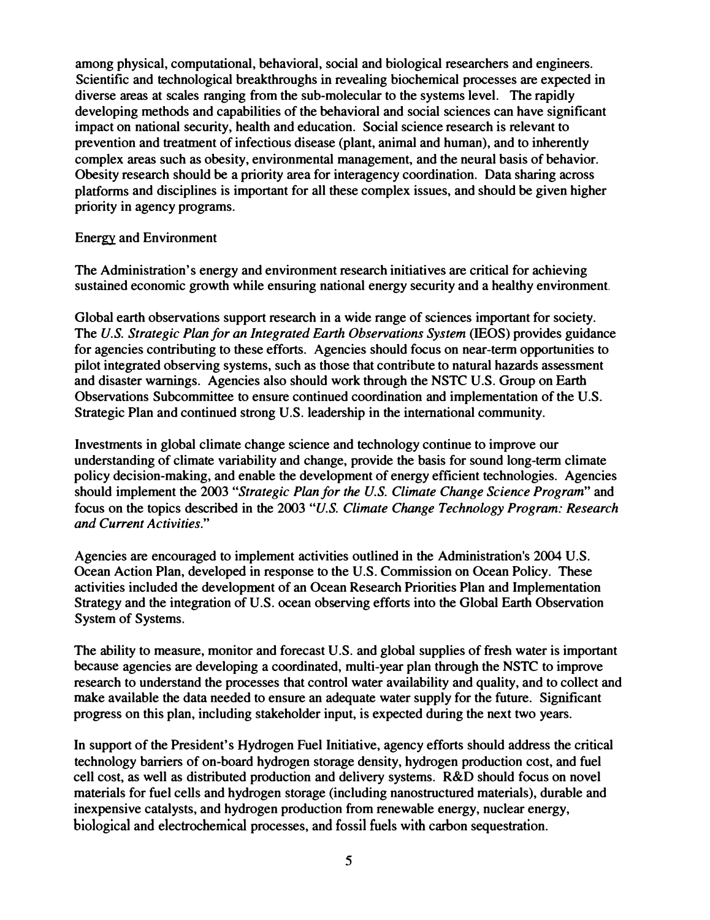**among physical, computational, behavioral, social and biological researchers and engineers. Scientific and technological breakthroughs in revealing biochemical processes are expected in diverse areas at scales ranging from the sub-molecular to the systems level. The rapidly developing methods and capabilities of the behavioral and social sciences can have significant impact on national security, health and education. Social science research is relevant to prevention and treatment of infectious disease (plant, animal and human), and to inherently complex areas such as obesity, environmental management, and the neural basis of behavior. Obesity research should be a priority area for interagency coordination. Data sharing across platforms and disciplines is important for all these complex issues, and should be given higher priority in agency programs.** 

#### **Energy and Environment**

**The Administration's energy and environment research initiatives are critical for achieving sustained economic growth while ensuring national energy security and a healthy environment.** 

**Global earth observations support research in a wide range of sciences important for society. The** *U.S. Strategic Plan for an Integrated Earth Observations System* **(IEOS) provides guidance for agencies contributing to these efforts. Agencies should focus on near-term opportunities to pilot integrated observing systems, such as those that contribute to natural hazards assessment and disaster warnings. Agencies also should work through the NSTC U.S. Group on Earth Observations Subcommittee to ensure continued coordination and implementation of the U.S. Strategic Plan and continued strong U.S. leadership in the international community.** 

**Investments in global climate change science and technology continue to improve our understanding of climate variability and change, provide the basis for sound long-term climate policy decision-making, and enable the development of energy efficient technologies. Agencies should implement the 2003** *"Strategic Plan for the U.S. Climate Change Science Program"* **and focus on the topics described in the 2003** *"U.S. Climate Change Technology Program: Research and Current Activities."* 

**Agencies are encouraged to implement activities outlined in the Administration's 2004 U.S. Ocean Action Plan, developed in response to the U.S. Commission on Ocean Policy. These activities included the development of an Ocean Research Priorities Plan and Implementation Strategy and the integration of U.S. ocean observing efforts into the Global Earth Observation System of Systems.** 

**The ability to measure, monitor and forecast U.S. and global supplies of fresh water is important because agencies are developing a coordinated, multi-year plan through the NSTC to improve research to understand the processes that control water availability and quality, and to collect and make available the data needed to ensure an adequate water supply for the future. Significant progress on this plan, including stakeholder input, is expected during the next two years.** 

**In support of the President's Hydrogen Fuel Initiative, agency efforts should address the critical technology barriers of on-board hydrogen storage density, hydrogen production cost, and fuel cell cost, as well as distributed production and delivery systems. R&D should focus on novel materials for fuel cells and hydrogen storage (including nanostructured materials), durable and inexpensive catalysts, and hydrogen production from renewable energy, nuclear energy, biological and electrochemical processes, and fossil fuels with carbon sequestration.**